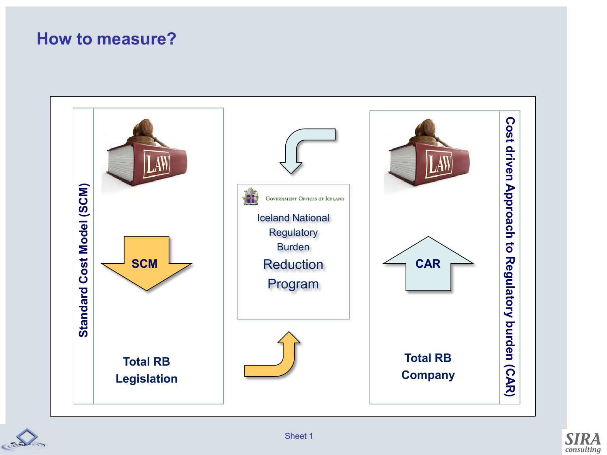### **How to measure?**





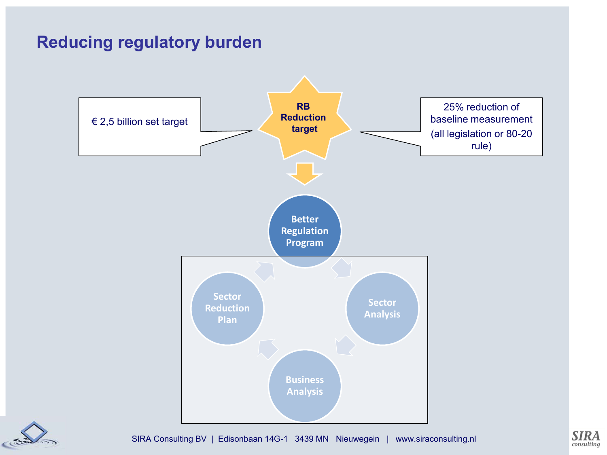### **Reducing regulatory burden**





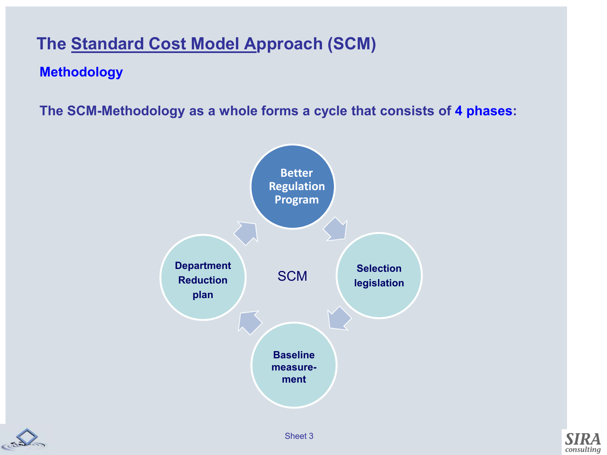### **The Standard Cost Model Approach (SCM)**

#### **Methodology**

**The SCM-Methodology as a whole forms a cycle that consists of 4 phases:** 





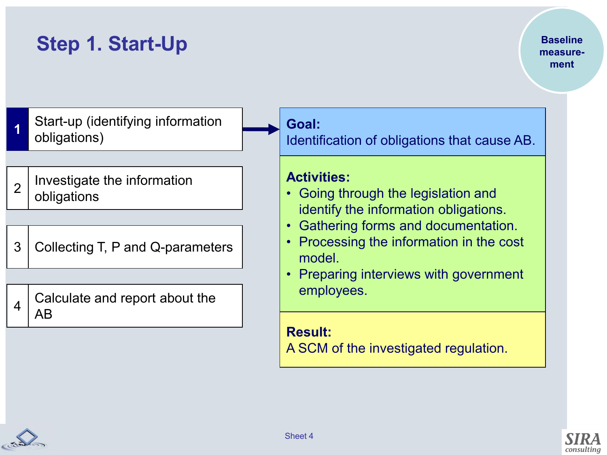#### **Baseline measurement**

**1**  Start-up (identifying information obligations)

- 2 Investigate the information obligations
- 3 Collecting T, P and Q-parameters

4 Calculate and report about the AB

**Goal:**

Identification of obligations that cause AB.

#### **Activities:**

- Going through the legislation and identify the information obligations.
- Gathering forms and documentation.
- Processing the information in the cost model.
- Preparing interviews with government employees.

**Result:**  A SCM of the investigated regulation.

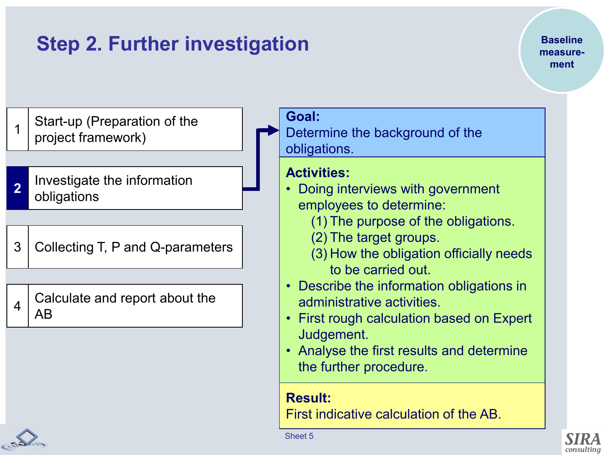# **Step 2. Further investigation**

**Baseline measurement**

1 Start-up (Preparation of the project framework)

- **2**  Investigate the information obligations
- 3 Collecting T, P and Q-parameters

4 Calculate and report about the AB

**Goal:** 

Determine the background of the obligations.

#### **Activities:**

- Doing interviews with government employees to determine:
	- (1) The purpose of the obligations.
	- (2) The target groups.
	- (3) How the obligation officially needs to be carried out.
- Describe the information obligations in administrative activities.
- First rough calculation based on Expert Judgement.
- Analyse the first results and determine the further procedure.

**Result:** 

First indicative calculation of the AB.



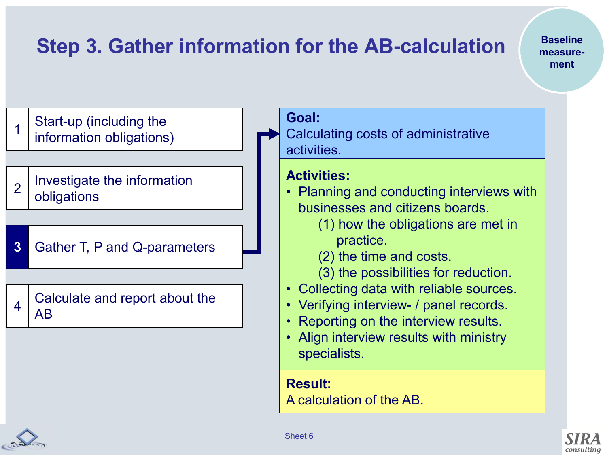# **Step 3. Gather information for the AB-calculation**

**Baseline measurement**

1 Start-up (including the information obligations)

2 Investigate the information obligations

**3**  Gather T, P and Q-parameters

4 Calculate and report about the AB

**Goal:** 

Calculating costs of administrative activities.

#### **Activities:**

- Planning and conducting interviews with businesses and citizens boards.
	- (1) how the obligations are met in practice.
	- (2) the time and costs.
	- (3) the possibilities for reduction.
- Collecting data with reliable sources.
- Verifying interview- / panel records.
- Reporting on the interview results.
- Align interview results with ministry specialists.

**Result:** 

A calculation of the AB.



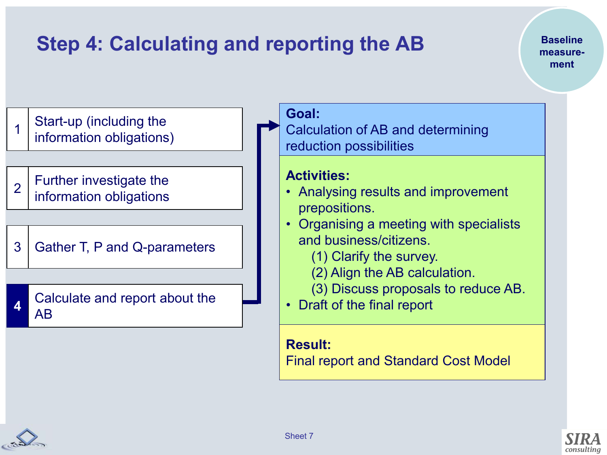# **Step 4: Calculating and reporting the AB**

**Baseline measurement**



### **Result:**

Final report and Standard Cost Model

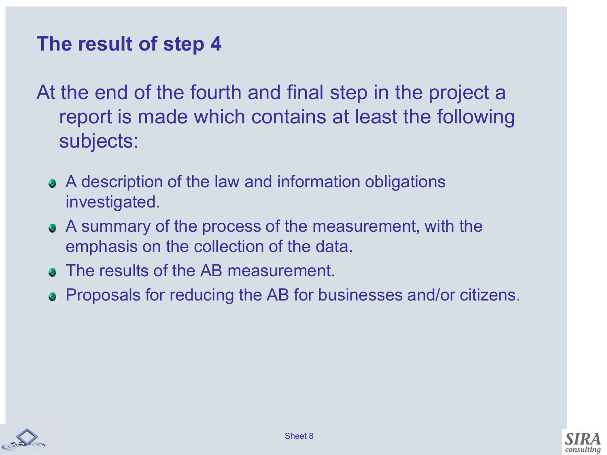## **The result of step 4**

At the end of the fourth and final step in the project a report is made which contains at least the following subjects:

- A description of the law and information obligations investigated.
- A summary of the process of the measurement, with the emphasis on the collection of the data.
- The results of the AB measurement.
- Proposals for reducing the AB for businesses and/or citizens.



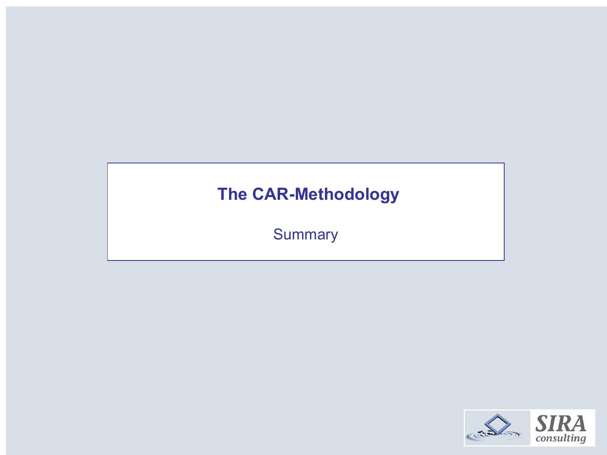### **The CAR-Methodology**

**Summary** 

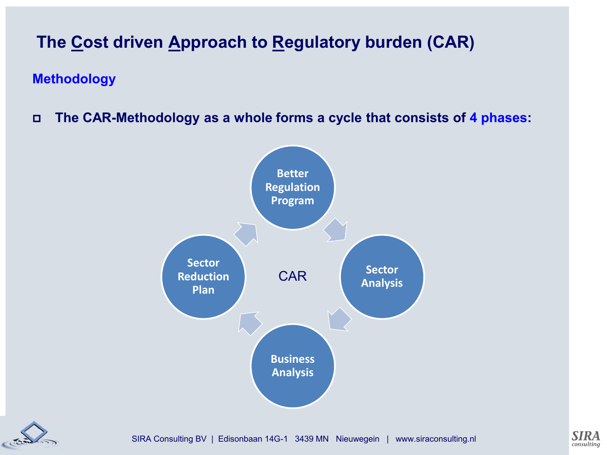#### **Methodology**

**The CAR-Methodology as a whole forms a cycle that consists of 4 phases:** 





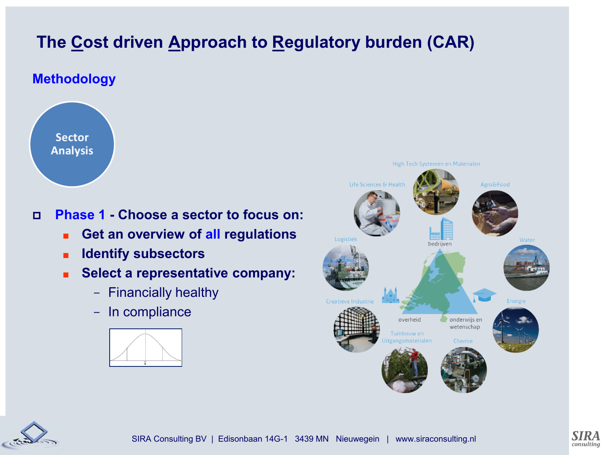#### **Methodology**



#### **Phase 1 - Choose a sector to focus on:**

- Get an overview of all regulations
- **Identify subsectors**
- **Select a representative company:** 
	- Financially healthy
	- In compliance







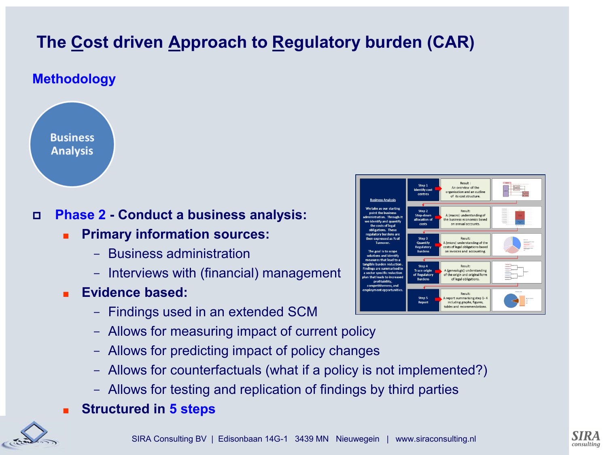#### **Methodology**



#### **Phase 2 - Conduct a business analysis:**

- **Primary information sources:** 
	- Business administration
	- Interviews with (financial) management
- **Evidence based:** 
	- Findings used in an extended SCM
	- Allows for measuring impact of current policy
	- Allows for predicting impact of policy changes
	- Allows for counterfactuals (what if a policy is not implemented?)
	- Allows for testing and replication of findings by third parties
- **Structured in 5 steps**





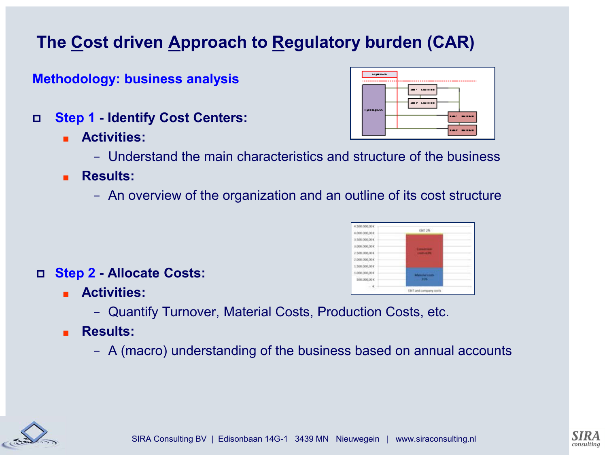**Methodology: business analysis**

- **Step 1 Identify Cost Centers:**
	- **Activities:**



- **Results:** 
	- An overview of the organization and an outline of its cost structure
- **Step 2 Allocate Costs:**
	- **Activities:** 
		- Quantify Turnover, Material Costs, Production Costs, etc.
	- **Results:** 
		- A (macro) understanding of the business based on annual accounts







tist 2%

EBIT and company cost

6,000,000,004 1500.000.00 000.000.004 100,000,001 2000/000 004 500,000,006 10001000.004 500,000,00 €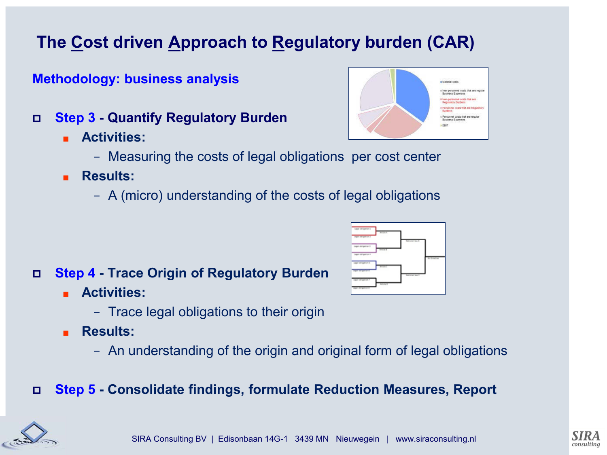#### **Methodology: business analysis**

- **Step 3 Quantify Regulatory Burden**
	- **Activities:**



- Measuring the costs of legal obligations per cost center
- **Results:** 
	- A (micro) understanding of the costs of legal obligations

#### **Step 4 - Trace Origin of Regulatory Burden**

- **Activities:** 
	- Trace legal obligations to their origin
- **Results:** 
	- An understanding of the origin and original form of legal obligations

#### **Step 5 - Consolidate findings, formulate Reduction Measures, Report**





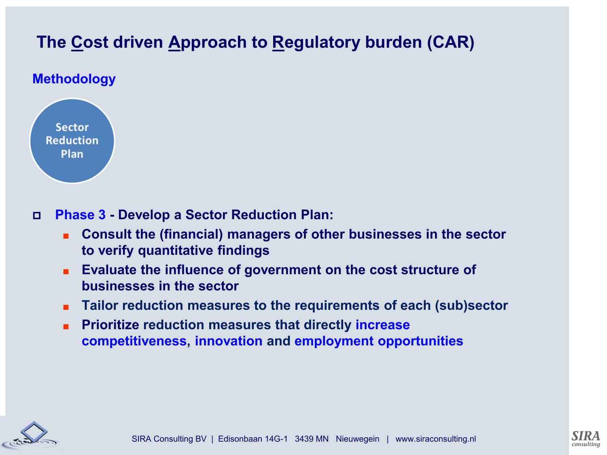#### **Methodology**



**Phase 3 - Develop a Sector Reduction Plan:**

- Consult the (financial) managers of other businesses in the sector **to verify quantitative findings**
- **Evaluate the influence of government on the cost structure of businesses in the sector**
- **Tailor reduction measures to the requirements of each (sub)sector**
- **Prioritize reduction measures that directly increase competitiveness, innovation and employment opportunities**



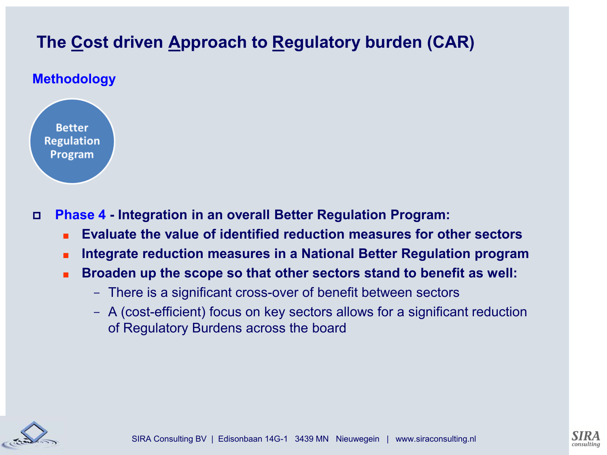#### **Methodology**



**Phase 4 - Integration in an overall Better Regulation Program:**

- **Evaluate the value of identified reduction measures for other sectors**
- **Integrate reduction measures in a National Better Regulation program**
- **Broaden up the scope so that other sectors stand to benefit as well:** 
	- There is a significant cross-over of benefit between sectors
	- A (cost-efficient) focus on key sectors allows for a significant reduction of Regulatory Burdens across the board



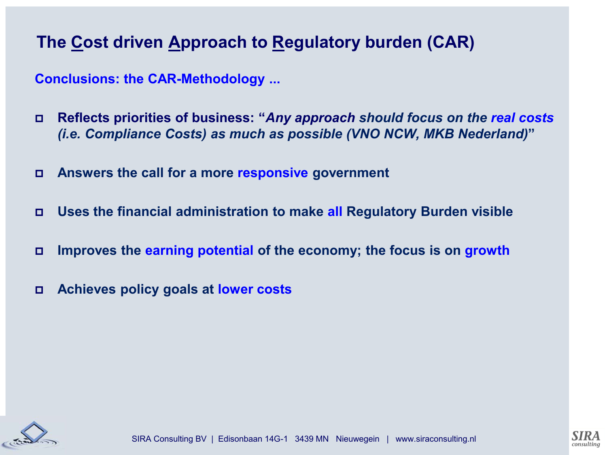**Conclusions: the CAR-Methodology ...**

- **Reflects priorities of business: "***Any approach should focus on the real costs (i.e. Compliance Costs) as much as possible (VNO NCW, MKB Nederland)***"**
- **Answers the call for a more responsive government**
- **Uses the financial administration to make all Regulatory Burden visible**
- **Improves the earning potential of the economy; the focus is on growth**
- **Achieves policy goals at lower costs**